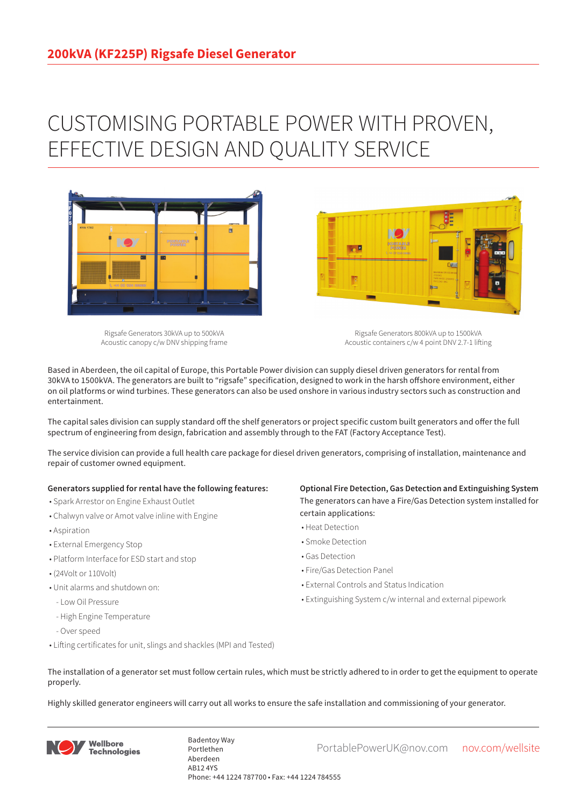## CUSTOMISING PORTABLE POWER WITH PROVEN, EFFECTIVE DESIGN AND QUALITY SERVICE



Rigsafe Generators 30kVA up to 500kVA Acoustic canopy c/w DNV shipping frame

Rigsafe Generators 800kVA up to 1500kVA Acoustic containers c/w 4 point DNV 2.7-1 lifting

Based in Aberdeen, the oil capital of Europe, this Portable Power division can supply diesel driven generators for rental from 30kVA to 1500kVA. The generators are built to "rigsafe" specification, designed to work in the harsh offshore environment, either on oil platforms or wind turbines. These generators can also be used onshore in various industry sectors such as construction and entertainment.

The capital sales division can supply standard off the shelf generators or project specific custom built generators and offer the full spectrum of engineering from design, fabrication and assembly through to the FAT (Factory Acceptance Test).

The service division can provide a full health care package for diesel driven generators, comprising of installation, maintenance and repair of customer owned equipment.

## **Generators supplied for rental have the following features:**

- Spark Arrestor on Engine Exhaust Outlet
- Chalwyn valve or Amot valve inline with Engine
- Aspiration
- External Emergency Stop
- Platform Interface for ESD start and stop
- (24Volt or 110Volt)
- Unit alarms and shutdown on:
- Low Oil Pressure
- High Engine Temperature
- Over speed
- Lifting certificates for unit, slings and shackles (MPI and Tested)

**Optional Fire Detection, Gas Detection and Extinguishing System** The generators can have a Fire/Gas Detection system installed for certain applications:

- Heat Detection
- Smoke Detection
- Gas Detection
- Fire/Gas Detection Panel

**Designation** 

- External Controls and Status Indication
- Extinguishing System c/w internal and external pipework
- The installation of a generator set must follow certain rules, which must be strictly adhered to in order to get the equipment to operate properly.

Highly skilled generator engineers will carry out all works to ensure the safe installation and commissioning of your generator.



Badentoy Way<br>PortablePowerUK@nov.com nov.com/wellsite Portlethen Aberdeen AB12 4YS Phone: +44 1224 787700 • Fax: +44 1224 784555